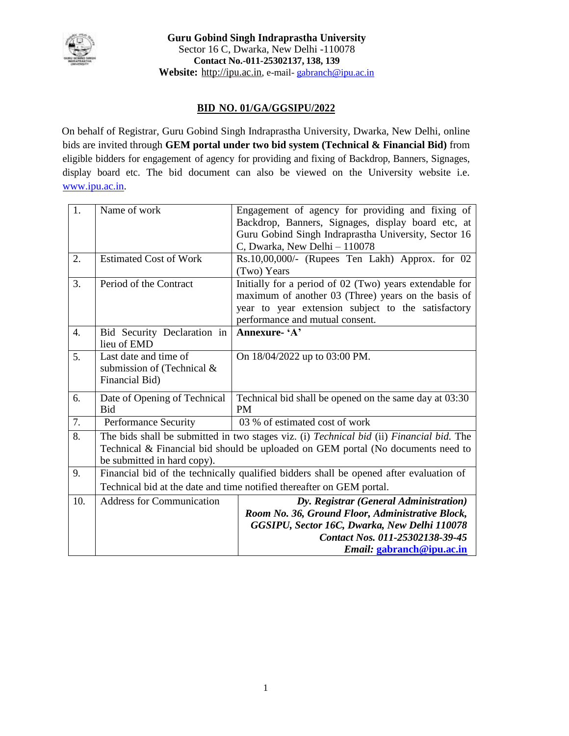

# **BID NO. 01/GA/GGSIPU/2022**

On behalf of Registrar, Guru Gobind Singh Indraprastha University, Dwarka, New Delhi, online bids are [invited th](http://www.ipu.ac.in/)rough **GEM portal under two bid system (Technical & Financial Bid)** from eligible bidders for engagement of agency for providing and fixing of Backdrop, Banners, Signages, display board etc. The bid document can also be viewed on the University website i.e. www.ipu.ac.in.

| $\overline{1}$ . | Name of work                     | Engagement of agency for providing and fixing of                                                        |  |  |
|------------------|----------------------------------|---------------------------------------------------------------------------------------------------------|--|--|
|                  |                                  | Backdrop, Banners, Signages, display board etc, at                                                      |  |  |
|                  |                                  | Guru Gobind Singh Indraprastha University, Sector 16                                                    |  |  |
|                  |                                  | C, Dwarka, New Delhi - 110078                                                                           |  |  |
| 2.               | <b>Estimated Cost of Work</b>    | Rs.10,00,000/- (Rupees Ten Lakh) Approx. for 02                                                         |  |  |
|                  |                                  | (Two) Years                                                                                             |  |  |
| 3.               | Period of the Contract           | Initially for a period of 02 (Two) years extendable for                                                 |  |  |
|                  |                                  | maximum of another 03 (Three) years on the basis of                                                     |  |  |
|                  |                                  | year to year extension subject to the satisfactory                                                      |  |  |
|                  |                                  | performance and mutual consent.                                                                         |  |  |
| 4.               | Bid Security Declaration in      | Annexure- 'A'                                                                                           |  |  |
|                  | lieu of EMD                      |                                                                                                         |  |  |
| 5.               | Last date and time of            | On 18/04/2022 up to 03:00 PM.                                                                           |  |  |
|                  | submission of (Technical &       |                                                                                                         |  |  |
|                  | Financial Bid)                   |                                                                                                         |  |  |
| 6.               | Date of Opening of Technical     | Technical bid shall be opened on the same day at 03:30                                                  |  |  |
|                  | <b>Bid</b>                       | <b>PM</b>                                                                                               |  |  |
| 7.               | Performance Security             | 03 % of estimated cost of work                                                                          |  |  |
| 8.               |                                  | The bids shall be submitted in two stages viz. (i) <i>Technical bid</i> (ii) <i>Financial bid</i> . The |  |  |
|                  |                                  | Technical & Financial bid should be uploaded on GEM portal (No documents need to                        |  |  |
|                  | be submitted in hard copy).      |                                                                                                         |  |  |
| 9.               |                                  | Financial bid of the technically qualified bidders shall be opened after evaluation of                  |  |  |
|                  |                                  | Technical bid at the date and time notified thereafter on GEM portal.                                   |  |  |
| 10.              | <b>Address for Communication</b> | Dy. Registrar (General Administration)                                                                  |  |  |
|                  |                                  | Room No. 36, Ground Floor, Administrative Block,                                                        |  |  |
|                  |                                  | GGSIPU, Sector 16C, Dwarka, New Delhi 110078                                                            |  |  |
|                  |                                  | Contact Nos. 011-25302138-39-45                                                                         |  |  |
|                  |                                  | Email: gabranch@ipu.ac.in                                                                               |  |  |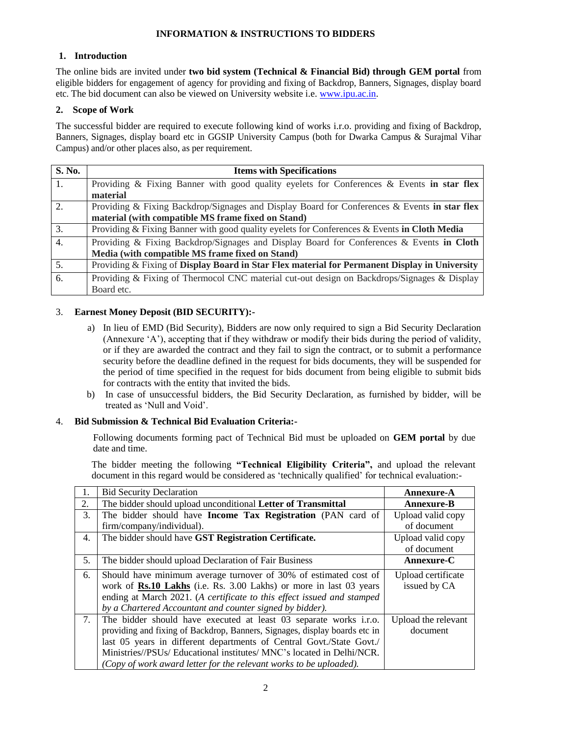## **INFORMATION & INSTRUCTIONS TO BIDDERS**

## **1. Introduction**

The online bids are invited under **two bid system (Technical & Financial Bid) through GEM portal** from eligible bidders for engagement of agency for providing and fixing of Backdrop, Banners, Signages, display board etc. The bid document can also be viewed on University website i.e. www.ipu.ac.in.

## **2. Scope of Work**

The successful bidder are required to execute following kind of works i.r.o. providing and fixing of Backdrop, Banners, Signages, display board etc in GGSIP University Campus (both for Dwarka Campus & Surajmal Vihar Campus) and/or other places also, as per requirement.

| S. No.           | <b>Items with Specifications</b>                                                              |  |  |
|------------------|-----------------------------------------------------------------------------------------------|--|--|
| 1.               | Providing & Fixing Banner with good quality eyelets for Conferences & Events in star flex     |  |  |
|                  | material                                                                                      |  |  |
| 2.               | Providing & Fixing Backdrop/Signages and Display Board for Conferences & Events in star flex  |  |  |
|                  | material (with compatible MS frame fixed on Stand)                                            |  |  |
| $\overline{3}$ . | Providing & Fixing Banner with good quality eyelets for Conferences & Events in Cloth Media   |  |  |
| $\overline{4}$ . | Providing & Fixing Backdrop/Signages and Display Board for Conferences & Events in Cloth      |  |  |
|                  | Media (with compatible MS frame fixed on Stand)                                               |  |  |
| 5.               | Providing & Fixing of Display Board in Star Flex material for Permanent Display in University |  |  |
| 6.               | Providing & Fixing of Thermocol CNC material cut-out design on Backdrops/Signages & Display   |  |  |
|                  | Board etc.                                                                                    |  |  |

## 3. **Earnest Money Deposit (BID SECURITY):-**

- a) In lieu of EMD (Bid Security), Bidders are now only required to sign a Bid Security Declaration (Annexure 'A'), accepting that if they withdraw or modify their bids during the period of validity, or if they are awarded the contract and they fail to sign the contract, or to submit a performance security before the deadline defined in the request for bids documents, they will be suspended for the period of time specified in the request for bids document from being eligible to submit bids for contracts with the entity that invited the bids.
- b) In case of unsuccessful bidders, the Bid Security Declaration, as furnished by bidder, will be treated as 'Null and Void'.

## 4. **Bid Submission & Technical Bid Evaluation Criteria:-**

Following documents forming pact of Technical Bid must be uploaded on **GEM portal** by due date and time.

The bidder meeting the following **"Technical Eligibility Criteria",** and upload the relevant document in this regard would be considered as 'technically qualified' for technical evaluation:-

|    | <b>Bid Security Declaration</b>                                            | <b>Annexure-A</b>   |
|----|----------------------------------------------------------------------------|---------------------|
| 2. | The bidder should upload unconditional Letter of Transmittal               | <b>Annexure-B</b>   |
| 3. | The bidder should have Income Tax Registration (PAN card of                | Upload valid copy   |
|    | firm/company/individual).                                                  | of document         |
| 4. | The bidder should have GST Registration Certificate.                       | Upload valid copy   |
|    |                                                                            | of document         |
| 5. | The bidder should upload Declaration of Fair Business                      | Annexure-C          |
| 6. | Should have minimum average turnover of 30% of estimated cost of           | Upload certificate  |
|    | work of <b>Rs.10 Lakhs</b> (i.e. Rs. 3.00 Lakhs) or more in last 03 years  | issued by CA        |
|    | ending at March 2021. (A certificate to this effect issued and stamped     |                     |
|    | by a Chartered Accountant and counter signed by bidder).                   |                     |
| 7. | The bidder should have executed at least 03 separate works i.r.o.          | Upload the relevant |
|    | providing and fixing of Backdrop, Banners, Signages, display boards etc in | document            |
|    | last 05 years in different departments of Central Govt./State Govt./       |                     |
|    | Ministries//PSUs/ Educational institutes/ MNC's located in Delhi/NCR.      |                     |
|    | (Copy of work award letter for the relevant works to be uploaded).         |                     |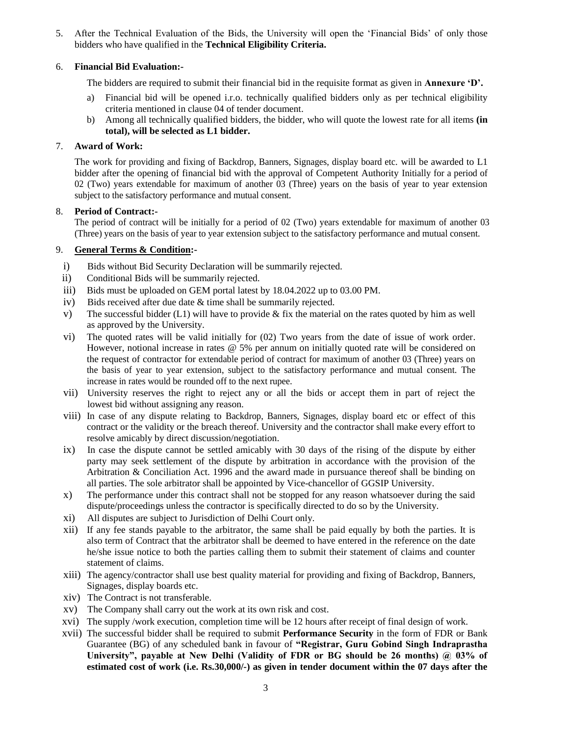5. After the Technical Evaluation of the Bids, the University will open the 'Financial Bids' of only those bidders who have qualified in the **Technical Eligibility Criteria.**

## 6. **Financial Bid Evaluation:-**

The bidders are required to submit their financial bid in the requisite format as given in **Annexure 'D'.**

- a) Financial bid will be opened i.r.o. technically qualified bidders only as per technical eligibility criteria mentioned in clause 04 of tender document.
- b) Among all technically qualified bidders, the bidder, who will quote the lowest rate for all items **(in total), will be selected as L1 bidder.**

#### 7. **Award of Work:**

The work for providing and fixing of Backdrop, Banners, Signages, display board etc. will be awarded to L1 bidder after the opening of financial bid with the approval of Competent Authority Initially for a period of 02 (Two) years extendable for maximum of another 03 (Three) years on the basis of year to year extension subject to the satisfactory performance and mutual consent.

## 8. **Period of Contract:-**

The period of contract will be initially for a period of 02 (Two) years extendable for maximum of another 03 (Three) years on the basis of year to year extension subject to the satisfactory performance and mutual consent.

#### 9. **General Terms & Condition:-**

- i) Bids without Bid Security Declaration will be summarily rejected.
- ii) Conditional Bids will be summarily rejected.
- iii) Bids must be uploaded on GEM portal latest by 18.04.2022 up to 03.00 PM.
- iv) Bids received after due date & time shall be summarily rejected.
- v) The successful bidder  $(L1)$  will have to provide & fix the material on the rates quoted by him as well as approved by the University.
- vi) The quoted rates will be valid initially for (02) Two years from the date of issue of work order. However, notional increase in rates @ 5% per annum on initially quoted rate will be considered on the request of contractor for extendable period of contract for maximum of another 03 (Three) years on the basis of year to year extension, subject to the satisfactory performance and mutual consent. The increase in rates would be rounded off to the next rupee.
- vii) University reserves the right to reject any or all the bids or accept them in part of reject the lowest bid without assigning any reason.
- viii) In case of any dispute relating to Backdrop, Banners, Signages, display board etc or effect of this contract or the validity or the breach thereof. University and the contractor shall make every effort to resolve amicably by direct discussion/negotiation.
- ix) In case the dispute cannot be settled amicably with 30 days of the rising of the dispute by either party may seek settlement of the dispute by arbitration in accordance with the provision of the Arbitration & Conciliation Act. 1996 and the award made in pursuance thereof shall be binding on all parties. The sole arbitrator shall be appointed by Vice-chancellor of GGSIP University.
- x) The performance under this contract shall not be stopped for any reason whatsoever during the said dispute/proceedings unless the contractor is specifically directed to do so by the University.
- xi) All disputes are subject to Jurisdiction of Delhi Court only.
- xii) If any fee stands payable to the arbitrator, the same shall be paid equally by both the parties. It is also term of Contract that the arbitrator shall be deemed to have entered in the reference on the date he/she issue notice to both the parties calling them to submit their statement of claims and counter statement of claims.
- xiii) The agency/contractor shall use best quality material for providing and fixing of Backdrop, Banners, Signages, display boards etc.
- xiv) The Contract is not transferable.
- xv) The Company shall carry out the work at its own risk and cost.
- xvi) The supply /work execution, completion time will be 12 hours after receipt of final design of work.
- xvii) The successful bidder shall be required to submit **Performance Security** in the form of FDR or Bank Guarantee (BG) of any scheduled bank in favour of **"Registrar, Guru Gobind Singh Indraprastha University", payable at New Delhi (Validity of FDR or BG should be 26 months) @ 03% of estimated cost of work (i.e. Rs.30,000/-) as given in tender document within the 07 days after the**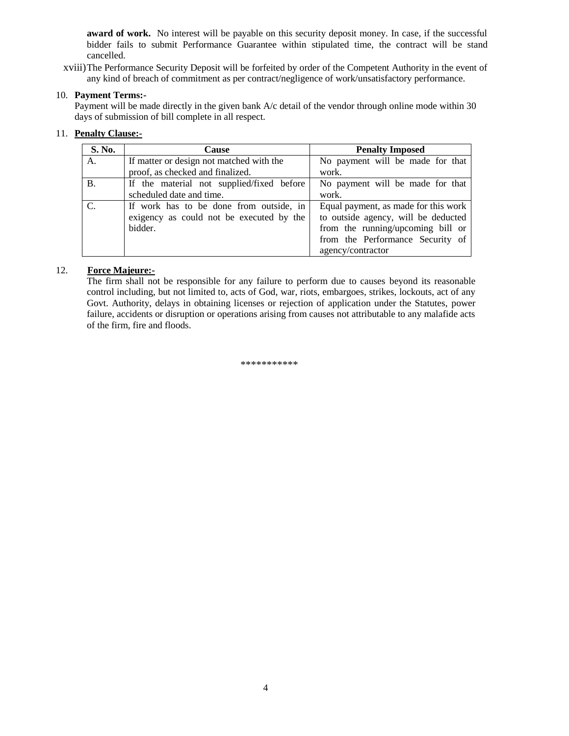**award of work.** No interest will be payable on this security deposit money. In case, if the successful bidder fails to submit Performance Guarantee within stipulated time, the contract will be stand cancelled.

xviii)The Performance Security Deposit will be forfeited by order of the Competent Authority in the event of any kind of breach of commitment as per contract/negligence of work/unsatisfactory performance.

#### 10. **Payment Terms:-**

Payment will be made directly in the given bank A/c detail of the vendor through online mode within 30 days of submission of bill complete in all respect.

#### 11. **Penalty Clause:-**

| S. No.    | <b>Cause</b>                              | <b>Penalty Imposed</b>               |  |
|-----------|-------------------------------------------|--------------------------------------|--|
| A.        | If matter or design not matched with the  | No payment will be made for that     |  |
|           | proof, as checked and finalized.          | work.                                |  |
| <b>B.</b> | If the material not supplied/fixed before | No payment will be made for that     |  |
|           | scheduled date and time.                  | work.                                |  |
|           | If work has to be done from outside, in   | Equal payment, as made for this work |  |
|           | exigency as could not be executed by the  | to outside agency, will be deducted  |  |
|           | bidder.                                   | from the running/upcoming bill or    |  |
|           |                                           | from the Performance Security of     |  |
|           |                                           | agency/contractor                    |  |

#### 12. **Force Majeure:-**

The firm shall not be responsible for any failure to perform due to causes beyond its reasonable control including, but not limited to, acts of God, war, riots, embargoes, strikes, lockouts, act of any Govt. Authority, delays in obtaining licenses or rejection of application under the Statutes, power failure, accidents or disruption or operations arising from causes not attributable to any malafide acts of the firm, fire and floods.

\*\*\*\*\*\*\*\*\*\*\*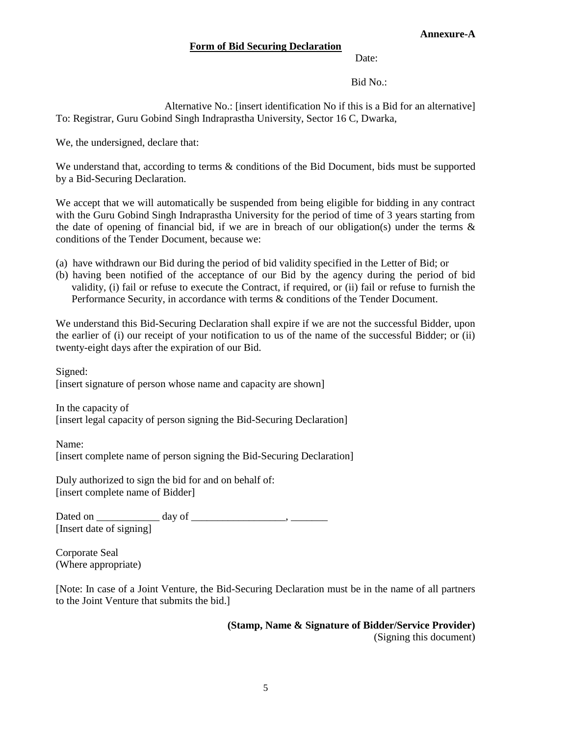#### **Annexure-A**

## **Form of Bid Securing Declaration**

Date:

Bid No.:

Alternative No.: [insert identification No if this is a Bid for an alternative] To: Registrar, Guru Gobind Singh Indraprastha University, Sector 16 C, Dwarka,

We, the undersigned, declare that:

We understand that, according to terms  $\&$  conditions of the Bid Document, bids must be supported by a Bid-Securing Declaration.

We accept that we will automatically be suspended from being eligible for bidding in any contract with the Guru Gobind Singh Indraprastha University for the period of time of 3 years starting from the date of opening of financial bid, if we are in breach of our obligation(s) under the terms  $\&$ conditions of the Tender Document, because we:

- (a) have withdrawn our Bid during the period of bid validity specified in the Letter of Bid; or
- (b) having been notified of the acceptance of our Bid by the agency during the period of bid validity, (i) fail or refuse to execute the Contract, if required, or (ii) fail or refuse to furnish the Performance Security, in accordance with terms & conditions of the Tender Document.

We understand this Bid-Securing Declaration shall expire if we are not the successful Bidder, upon the earlier of (i) our receipt of your notification to us of the name of the successful Bidder; or (ii) twenty-eight days after the expiration of our Bid.

Signed: [insert signature of person whose name and capacity are shown]

In the capacity of [insert legal capacity of person signing the Bid-Securing Declaration]

Name: [insert complete name of person signing the Bid-Securing Declaration]

Duly authorized to sign the bid for and on behalf of: [insert complete name of Bidder]

Dated on \_\_\_\_\_\_\_\_\_\_\_\_ day of \_\_\_\_\_\_\_\_\_\_\_\_\_\_\_\_\_\_, \_\_\_\_\_\_\_ [Insert date of signing]

Corporate Seal (Where appropriate)

[Note: In case of a Joint Venture, the Bid-Securing Declaration must be in the name of all partners to the Joint Venture that submits the bid.]

**(Stamp, Name & Signature of Bidder/Service Provider)**

(Signing this document)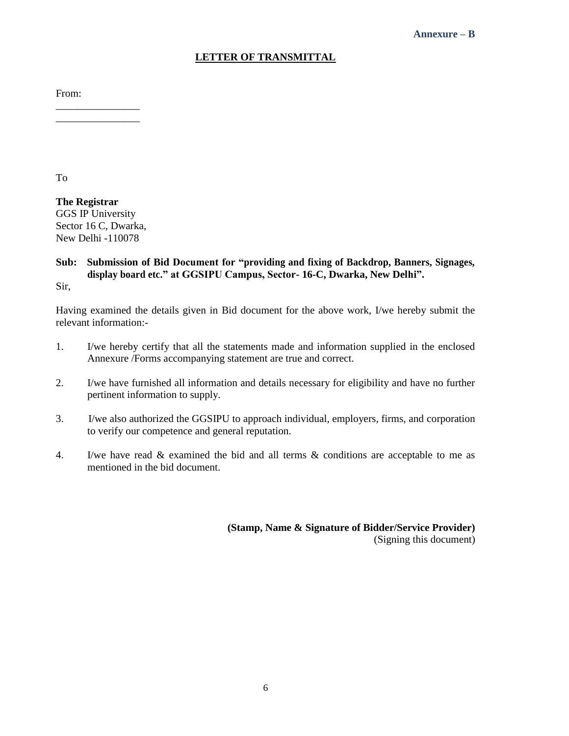# **LETTER OF TRANSMITTAL**

From:

To

**The Registrar** GGS IP University Sector 16 C, Dwarka, New Delhi -110078

\_\_\_\_\_\_\_\_\_\_\_\_\_\_\_\_ \_\_\_\_\_\_\_\_\_\_\_\_\_\_\_\_

# **Sub: Submission of Bid Document for "providing and fixing of Backdrop, Banners, Signages, display board etc." at GGSIPU Campus, Sector- 16-C, Dwarka, New Delhi".**

Sir,

Having examined the details given in Bid document for the above work, I/we hereby submit the relevant information:-

- 1. I/we hereby certify that all the statements made and information supplied in the enclosed Annexure /Forms accompanying statement are true and correct.
- 2. I/we have furnished all information and details necessary for eligibility and have no further pertinent information to supply.
- 3. I/we also authorized the GGSIPU to approach individual, employers, firms, and corporation to verify our competence and general reputation.
- 4. I/we have read & examined the bid and all terms & conditions are acceptable to me as mentioned in the bid document.

**(Stamp, Name & Signature of Bidder/Service Provider)** (Signing this document)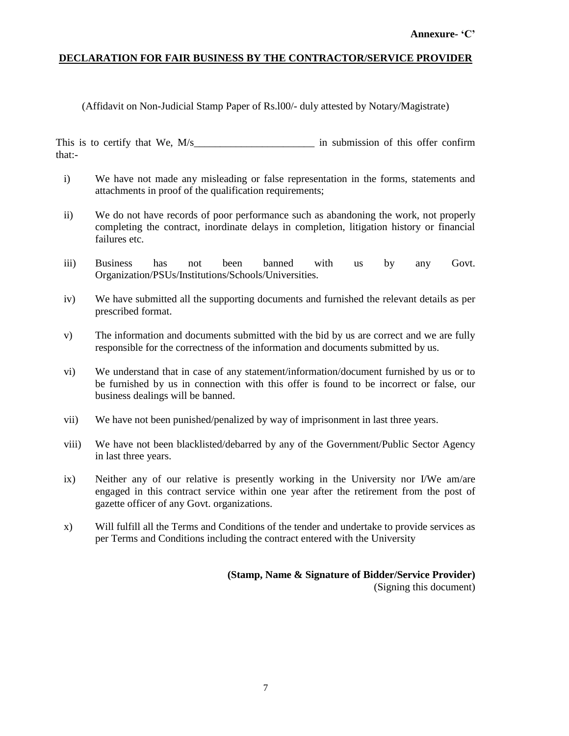# **DECLARATION FOR FAIR BUSINESS BY THE CONTRACTOR/SERVICE PROVIDER**

(Affidavit on Non-Judicial Stamp Paper of Rs.l00/- duly attested by Notary/Magistrate)

This is to certify that We, M/s\_\_\_\_\_\_\_\_\_\_\_\_\_\_\_\_\_\_\_\_\_\_\_ in submission of this offer confirm that:-

- i) We have not made any misleading or false representation in the forms, statements and attachments in proof of the qualification requirements;
- ii) We do not have records of poor performance such as abandoning the work, not properly completing the contract, inordinate delays in completion, litigation history or financial failures etc.
- iii) Business has not been banned with us by any Govt. Organization/PSUs/Institutions/Schools/Universities.
- iv) We have submitted all the supporting documents and furnished the relevant details as per prescribed format.
- v) The information and documents submitted with the bid by us are correct and we are fully responsible for the correctness of the information and documents submitted by us.
- vi) We understand that in case of any statement/information/document furnished by us or to be furnished by us in connection with this offer is found to be incorrect or false, our business dealings will be banned.
- vii) We have not been punished/penalized by way of imprisonment in last three years.
- viii) We have not been blacklisted/debarred by any of the Government/Public Sector Agency in last three years.
- ix) Neither any of our relative is presently working in the University nor I/We am/are engaged in this contract service within one year after the retirement from the post of gazette officer of any Govt. organizations.
- x) Will fulfill all the Terms and Conditions of the tender and undertake to provide services as per Terms and Conditions including the contract entered with the University

**(Stamp, Name & Signature of Bidder/Service Provider)** (Signing this document)